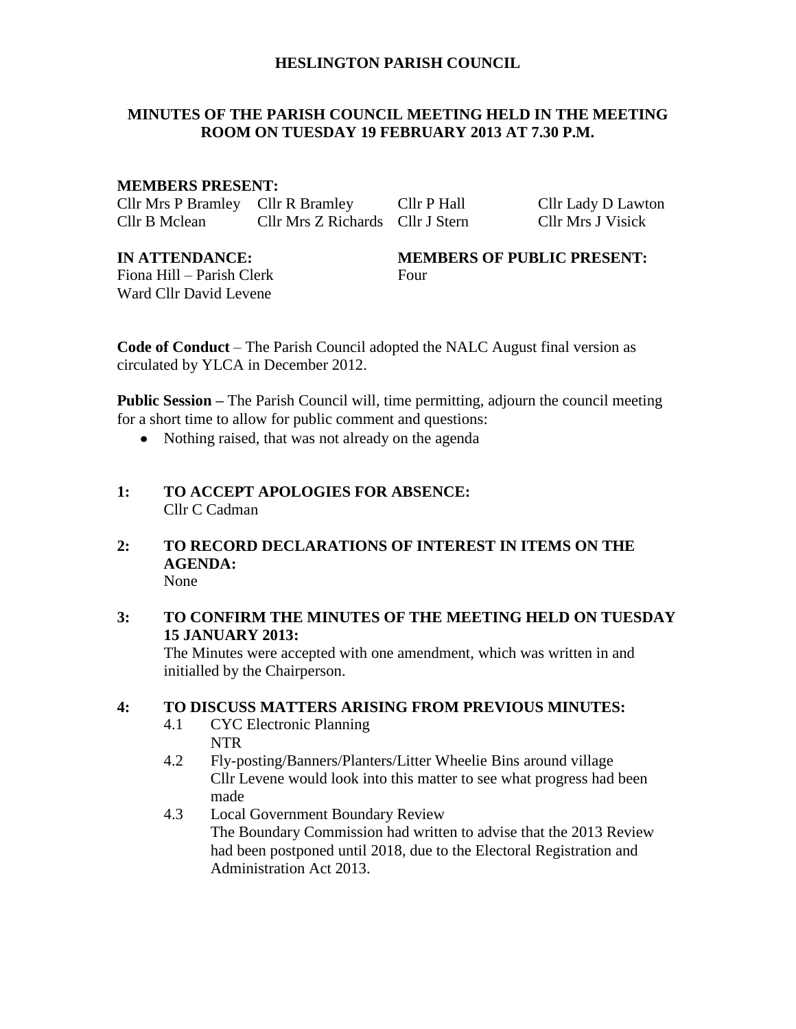## **HESLINGTON PARISH COUNCIL**

# **MINUTES OF THE PARISH COUNCIL MEETING HELD IN THE MEETING ROOM ON TUESDAY 19 FEBRUARY 2013 AT 7.30 P.M.**

# **MEMBERS PRESENT:**

Cllr Mrs P Bramley Cllr R Bramley Cllr P Hall Cllr Lady D Lawton Cllr B Mclean Cllr Mrs Z Richards Cllr J Stern Cllr Mrs J Visick

Fiona Hill – Parish Clerk Four Ward Cllr David Levene

# **IN ATTENDANCE: MEMBERS OF PUBLIC PRESENT:**

**Code of Conduct** – The Parish Council adopted the NALC August final version as circulated by YLCA in December 2012.

**Public Session –** The Parish Council will, time permitting, adjourn the council meeting for a short time to allow for public comment and questions:

- Nothing raised, that was not already on the agenda
- **1: TO ACCEPT APOLOGIES FOR ABSENCE:** Cllr C Cadman
- **2: TO RECORD DECLARATIONS OF INTEREST IN ITEMS ON THE AGENDA:** None

# **3: TO CONFIRM THE MINUTES OF THE MEETING HELD ON TUESDAY 15 JANUARY 2013:**

The Minutes were accepted with one amendment, which was written in and initialled by the Chairperson.

# **4: TO DISCUSS MATTERS ARISING FROM PREVIOUS MINUTES:**

- 4.1 CYC Electronic Planning NTR
- 4.2 Fly-posting/Banners/Planters/Litter Wheelie Bins around village Cllr Levene would look into this matter to see what progress had been made
- 4.3 Local Government Boundary Review The Boundary Commission had written to advise that the 2013 Review had been postponed until 2018, due to the Electoral Registration and Administration Act 2013.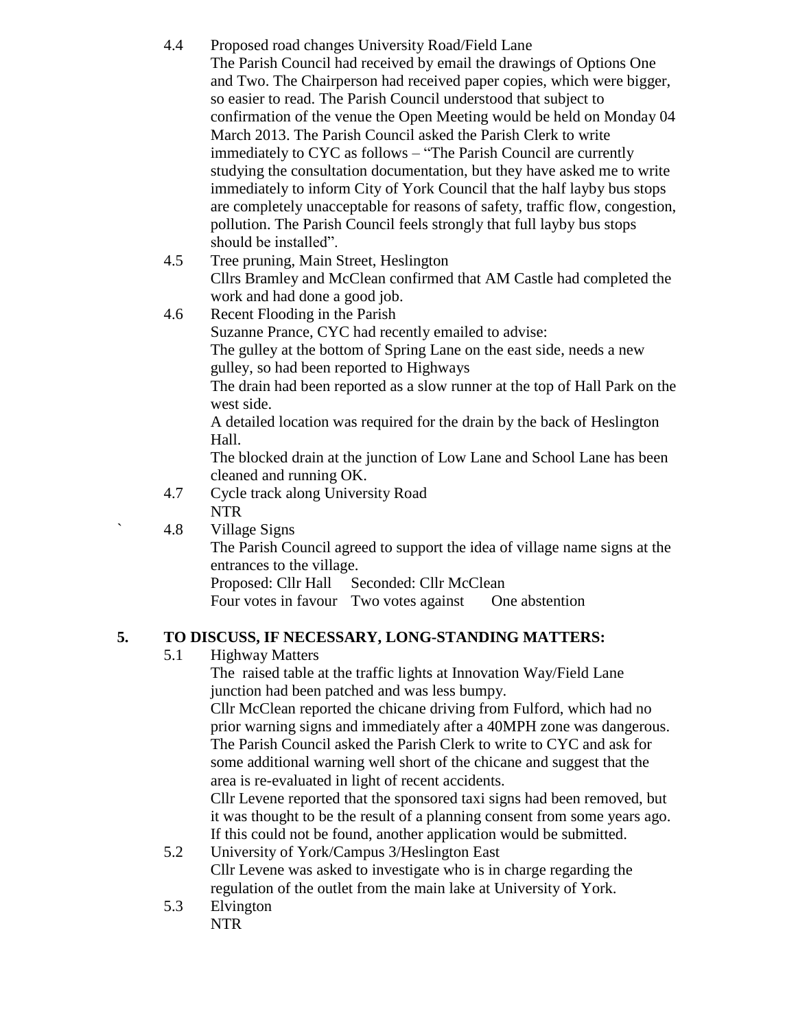- 4.4 Proposed road changes University Road/Field Lane The Parish Council had received by email the drawings of Options One and Two. The Chairperson had received paper copies, which were bigger, so easier to read. The Parish Council understood that subject to confirmation of the venue the Open Meeting would be held on Monday 04 March 2013. The Parish Council asked the Parish Clerk to write immediately to CYC as follows – "The Parish Council are currently studying the consultation documentation, but they have asked me to write immediately to inform City of York Council that the half layby bus stops are completely unacceptable for reasons of safety, traffic flow, congestion, pollution. The Parish Council feels strongly that full layby bus stops should be installed".
- 4.5 Tree pruning, Main Street, Heslington Cllrs Bramley and McClean confirmed that AM Castle had completed the work and had done a good job.
- 4.6 Recent Flooding in the Parish Suzanne Prance, CYC had recently emailed to advise: The gulley at the bottom of Spring Lane on the east side, needs a new gulley, so had been reported to Highways The drain had been reported as a slow runner at the top of Hall Park on the west side.

A detailed location was required for the drain by the back of Heslington Hall.

The blocked drain at the junction of Low Lane and School Lane has been cleaned and running OK.

4.7 Cycle track along University Road NTR

` 4.8 Village Signs The Parish Council agreed to support the idea of village name signs at the entrances to the village.

Proposed: Cllr Hall Seconded: Cllr McClean

Four votes in favour Two votes against One abstention

# **5. TO DISCUSS, IF NECESSARY, LONG-STANDING MATTERS:**

5.1 Highway Matters

The raised table at the traffic lights at Innovation Way/Field Lane junction had been patched and was less bumpy.

Cllr McClean reported the chicane driving from Fulford, which had no prior warning signs and immediately after a 40MPH zone was dangerous. The Parish Council asked the Parish Clerk to write to CYC and ask for some additional warning well short of the chicane and suggest that the area is re-evaluated in light of recent accidents.

Cllr Levene reported that the sponsored taxi signs had been removed, but it was thought to be the result of a planning consent from some years ago. If this could not be found, another application would be submitted.

- 5.2 University of York/Campus 3/Heslington East Cllr Levene was asked to investigate who is in charge regarding the regulation of the outlet from the main lake at University of York.
- 5.3 Elvington NTR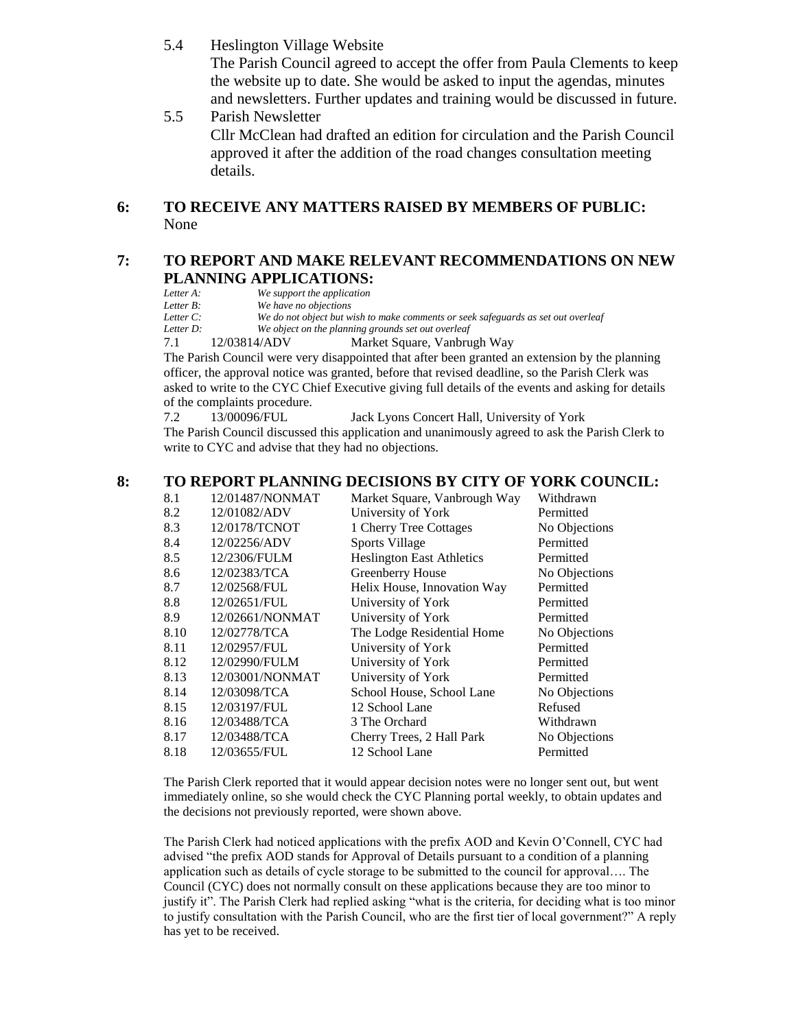- 5.4 Heslington Village Website The Parish Council agreed to accept the offer from Paula Clements to keep the website up to date. She would be asked to input the agendas, minutes and newsletters. Further updates and training would be discussed in future.
- 5.5 Parish Newsletter Cllr McClean had drafted an edition for circulation and the Parish Council approved it after the addition of the road changes consultation meeting details.

# **6: TO RECEIVE ANY MATTERS RAISED BY MEMBERS OF PUBLIC:** None

#### **7: TO REPORT AND MAKE RELEVANT RECOMMENDATIONS ON NEW PLANNING APPLICATIONS:**

*Letter A: We support the application Letter B: We have no objections Letter C: We do not object but wish to make comments or seek safeguards as set out overleaf* We object on the planning grounds set out overleaf 7.1 12/03814/ADV Market Square, Vanbrugh Way

The Parish Council were very disappointed that after been granted an extension by the planning officer, the approval notice was granted, before that revised deadline, so the Parish Clerk was asked to write to the CYC Chief Executive giving full details of the events and asking for details of the complaints procedure.

7.2 13/00096/FUL Jack Lyons Concert Hall, University of York The Parish Council discussed this application and unanimously agreed to ask the Parish Clerk to write to CYC and advise that they had no objections.

#### **8: TO REPORT PLANNING DECISIONS BY CITY OF YORK COUNCIL:**

| 8.1  | 12/01487/NONMAT | Market Square, Vanbrough Way     | Withdrawn     |
|------|-----------------|----------------------------------|---------------|
| 8.2  | 12/01082/ADV    | University of York               | Permitted     |
| 8.3  | 12/0178/TCNOT   | 1 Cherry Tree Cottages           | No Objections |
| 8.4  | 12/02256/ADV    | Sports Village                   | Permitted     |
| 8.5  | 12/2306/FULM    | <b>Heslington East Athletics</b> | Permitted     |
| 8.6  | 12/02383/TCA    | Greenberry House                 | No Objections |
| 8.7  | 12/02568/FUL    | Helix House, Innovation Way      | Permitted     |
| 8.8  | 12/02651/FUL    | University of York               | Permitted     |
| 8.9  | 12/02661/NONMAT | University of York               | Permitted     |
| 8.10 | 12/02778/TCA    | The Lodge Residential Home       | No Objections |
| 8.11 | 12/02957/FUL    | University of York               | Permitted     |
| 8.12 | 12/02990/FULM   | University of York               | Permitted     |
| 8.13 | 12/03001/NONMAT | University of York               | Permitted     |
| 8.14 | 12/03098/TCA    | School House, School Lane        | No Objections |
| 8.15 | 12/03197/FUL    | 12 School Lane                   | Refused       |
| 8.16 | 12/03488/TCA    | 3 The Orchard                    | Withdrawn     |
| 8.17 | 12/03488/TCA    | Cherry Trees, 2 Hall Park        | No Objections |
| 8.18 | 12/03655/FUL    | 12 School Lane                   | Permitted     |

The Parish Clerk reported that it would appear decision notes were no longer sent out, but went immediately online, so she would check the CYC Planning portal weekly, to obtain updates and the decisions not previously reported, were shown above.

The Parish Clerk had noticed applications with the prefix AOD and Kevin O'Connell, CYC had advised "the prefix AOD stands for Approval of Details pursuant to a condition of a planning application such as details of cycle storage to be submitted to the council for approval…. The Council (CYC) does not normally consult on these applications because they are too minor to justify it". The Parish Clerk had replied asking "what is the criteria, for deciding what is too minor to justify consultation with the Parish Council, who are the first tier of local government?" A reply has yet to be received.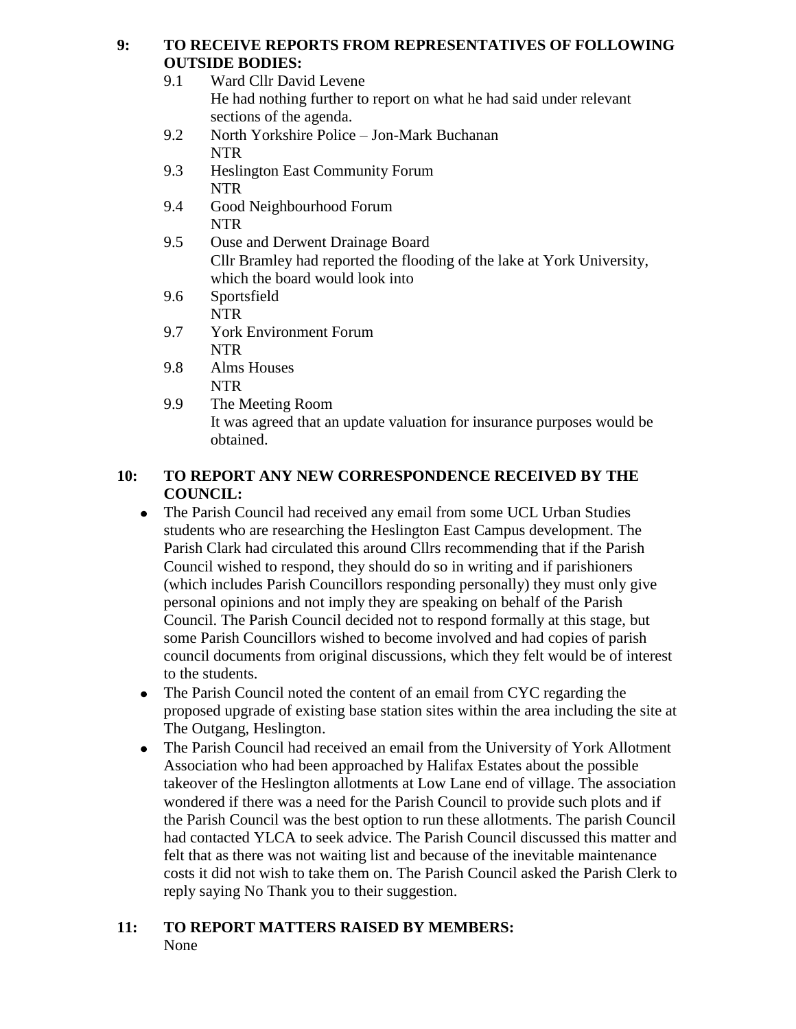# **9: TO RECEIVE REPORTS FROM REPRESENTATIVES OF FOLLOWING OUTSIDE BODIES:**

|     | UU ISIDE BUDIES.                                                       |
|-----|------------------------------------------------------------------------|
| 9.1 | Ward Cllr David Levene                                                 |
|     | He had nothing further to report on what he had said under relevant    |
|     | sections of the agenda.                                                |
| 9.2 | North Yorkshire Police - Jon-Mark Buchanan                             |
|     | <b>NTR</b>                                                             |
| 9.3 | <b>Heslington East Community Forum</b>                                 |
|     | <b>NTR</b>                                                             |
| 9.4 | Good Neighbourhood Forum                                               |
|     | <b>NTR</b>                                                             |
| 9.5 | <b>Ouse and Derwent Drainage Board</b>                                 |
|     | Cllr Bramley had reported the flooding of the lake at York University, |
|     | which the board would look into                                        |
| 9.6 | Sportsfield                                                            |
|     | <b>NTR</b>                                                             |
| 9.7 | <b>York Environment Forum</b>                                          |
|     | <b>NTR</b>                                                             |
| 9.8 | Alms Houses                                                            |
|     | NTR                                                                    |

9.9 The Meeting Room It was agreed that an update valuation for insurance purposes would be obtained.

# **10: TO REPORT ANY NEW CORRESPONDENCE RECEIVED BY THE COUNCIL:**

- The Parish Council had received any email from some UCL Urban Studies students who are researching the Heslington East Campus development. The Parish Clark had circulated this around Cllrs recommending that if the Parish Council wished to respond, they should do so in writing and if parishioners (which includes Parish Councillors responding personally) they must only give personal opinions and not imply they are speaking on behalf of the Parish Council. The Parish Council decided not to respond formally at this stage, but some Parish Councillors wished to become involved and had copies of parish council documents from original discussions, which they felt would be of interest to the students.
- The Parish Council noted the content of an email from CYC regarding the proposed upgrade of existing base station sites within the area including the site at The Outgang, Heslington.
- The Parish Council had received an email from the University of York Allotment Association who had been approached by Halifax Estates about the possible takeover of the Heslington allotments at Low Lane end of village. The association wondered if there was a need for the Parish Council to provide such plots and if the Parish Council was the best option to run these allotments. The parish Council had contacted YLCA to seek advice. The Parish Council discussed this matter and felt that as there was not waiting list and because of the inevitable maintenance costs it did not wish to take them on. The Parish Council asked the Parish Clerk to reply saying No Thank you to their suggestion.

# **11: TO REPORT MATTERS RAISED BY MEMBERS:** None